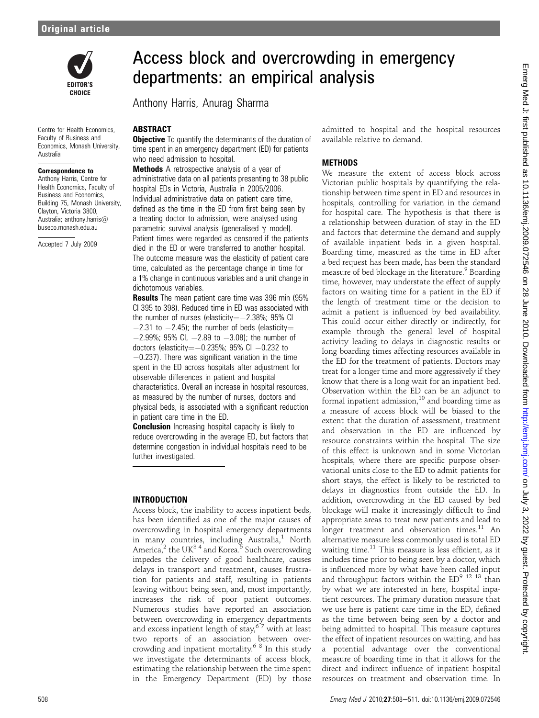

Centre for Health Economics, Faculty of Business and Economics, Monash University, Australia

#### Correspondence to

Anthony Harris, Centre for Health Economics, Faculty of Business and Economics, Building 75, Monash University, Clayton, Victoria 3800 Australia; anthony.harris@ buseco.monash.edu.au

Accepted 7 July 2009

# Access block and overcrowding in emergency departments: an empirical analysis

Anthony Harris, Anurag Sharma

### ABSTRACT

**Objective** To quantify the determinants of the duration of time spent in an emergency department (ED) for patients who need admission to hospital.

**Methods** A retrospective analysis of a year of administrative data on all patients presenting to 38 public hospital EDs in Victoria, Australia in 2005/2006. Individual administrative data on patient care time, defined as the time in the ED from first being seen by a treating doctor to admission, were analysed using parametric survival analysis (generalised  $\gamma$  model). Patient times were regarded as censored if the patients died in the ED or were transferred to another hospital. The outcome measure was the elasticity of patient care time, calculated as the percentage change in time for a 1% change in continuous variables and a unit change in dichotomous variables.

Results The mean patient care time was 396 min (95% CI 395 to 398). Reduced time in ED was associated with the number of nurses (elasticity= $-2.38\%$ ; 95% CI  $-2.31$  to  $-2.45$ ); the number of beds (elasticity=  $-2.99\%$ ; 95% CI,  $-2.89$  to  $-3.08$ ); the number of doctors (elasticity= $-0.235\%$ ; 95% CI  $-0.232$  to -0.237). There was significant variation in the time spent in the ED across hospitals after adjustment for observable differences in patient and hospital characteristics. Overall an increase in hospital resources, as measured by the number of nurses, doctors and physical beds, is associated with a significant reduction in patient care time in the ED.

**Conclusion** Increasing hospital capacity is likely to reduce overcrowding in the average ED, but factors that determine congestion in individual hospitals need to be further investigated.

#### INTRODUCTION

Access block, the inability to access inpatient beds, has been identified as one of the major causes of overcrowding in hospital emergency departments in many countries, including Australia,<sup>1</sup> North America,<sup>2</sup> the UK<sup>34</sup> and Korea.<sup>5</sup> Such overcrowding impedes the delivery of good healthcare, causes delays in transport and treatment, causes frustration for patients and staff, resulting in patients leaving without being seen, and, most importantly, increases the risk of poor patient outcomes. Numerous studies have reported an association between overcrowding in emergency departments and excess inpatient length of stay,  $^{6\,7}$  with at least two reports of an association between overcrowding and inpatient mortality.<sup>6</sup> <sup>8</sup> In this study we investigate the determinants of access block, estimating the relationship between the time spent in the Emergency Department (ED) by those admitted to hospital and the hospital resources available relative to demand.

#### **METHODS**

We measure the extent of access block across Victorian public hospitals by quantifying the relationship between time spent in ED and resources in hospitals, controlling for variation in the demand for hospital care. The hypothesis is that there is a relationship between duration of stay in the ED and factors that determine the demand and supply of available inpatient beds in a given hospital. Boarding time, measured as the time in ED after a bed request has been made, has been the standard measure of bed blockage in the literature.<sup>9</sup> Boarding time, however, may understate the effect of supply factors on waiting time for a patient in the ED if the length of treatment time or the decision to admit a patient is influenced by bed availability. This could occur either directly or indirectly, for example through the general level of hospital activity leading to delays in diagnostic results or long boarding times affecting resources available in the ED for the treatment of patients. Doctors may treat for a longer time and more aggressively if they know that there is a long wait for an inpatient bed. Observation within the ED can be an adjunct to formal inpatient admission, $^{10}$  and boarding time as a measure of access block will be biased to the extent that the duration of assessment, treatment and observation in the ED are influenced by resource constraints within the hospital. The size of this effect is unknown and in some Victorian hospitals, where there are specific purpose observational units close to the ED to admit patients for short stays, the effect is likely to be restricted to delays in diagnostics from outside the ED. In addition, overcrowding in the ED caused by bed blockage will make it increasingly difficult to find appropriate areas to treat new patients and lead to longer treatment and observation times.<sup>11</sup> An alternative measure less commonly used is total ED waiting time.<sup>11</sup> This measure is less efficient, as it includes time prior to being seen by a doctor, which is influenced more by what have been called input and throughput factors within the  $ED^{9}$  <sup>12</sup> <sup>13</sup> than by what we are interested in here, hospital inpatient resources. The primary duration measure that we use here is patient care time in the ED, defined as the time between being seen by a doctor and being admitted to hospital. This measure captures the effect of inpatient resources on waiting, and has a potential advantage over the conventional measure of boarding time in that it allows for the direct and indirect influence of inpatient hospital resources on treatment and observation time. In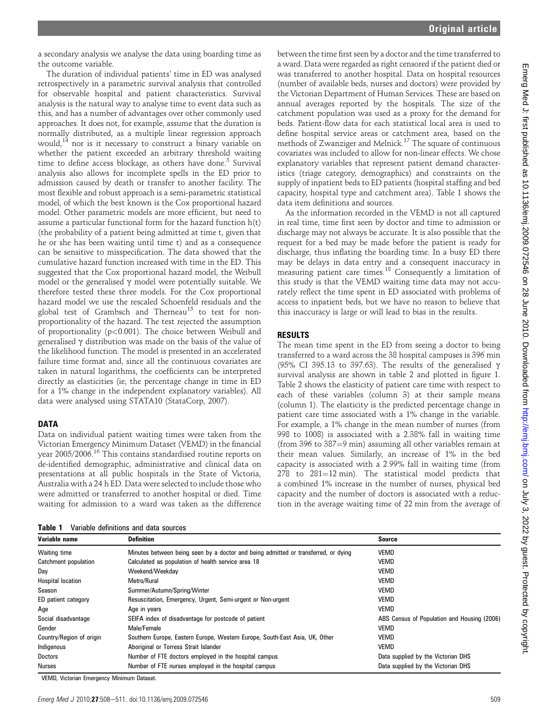a secondary analysis we analyse the data using boarding time as the outcome variable.

The duration of individual patients' time in ED was analysed retrospectively in a parametric survival analysis that controlled for observable hospital and patient characteristics. Survival analysis is the natural way to analyse time to event data such as this, and has a number of advantages over other commonly used approaches. It does not, for example, assume that the duration is normally distributed, as a multiple linear regression approach would,<sup>14</sup> nor is it necessary to construct a binary variable on whether the patient exceeded an arbitrary threshold waiting time to define access blockage, as others have done.<sup>3</sup> Survival analysis also allows for incomplete spells in the ED prior to admission caused by death or transfer to another facility. The most flexible and robust approach is a semi-parametric statistical model, of which the best known is the Cox proportional hazard model. Other parametric models are more efficient, but need to assume a particular functional form for the hazard function h(t) (the probability of a patient being admitted at time t, given that he or she has been waiting until time t) and as a consequence can be sensitive to misspecification. The data showed that the cumulative hazard function increased with time in the ED. This suggested that the Cox proportional hazard model, the Weibull model or the generalised  $\gamma$  model were potentially suitable. We therefore tested these three models. For the Cox proportional hazard model we use the rescaled Schoenfeld residuals and the global test of Grambsch and Therneau<sup>15</sup> to test for nonproportionality of the hazard. The test rejected the assumption of proportionality (p<0.001). The choice between Weibull and generalised  $\gamma$  distribution was made on the basis of the value of the likelihood function. The model is presented in an accelerated failure time format and, since all the continuous covariates are taken in natural logarithms, the coefficients can be interpreted directly as elasticities (ie, the percentage change in time in ED for a 1% change in the independent explanatory variables). All data were analysed using STATA10 (StataCorp, 2007).

### DATA

Data on individual patient waiting times were taken from the Victorian Emergency Minimum Dataset (VEMD) in the financial year 2005/2006.<sup>16</sup> This contains standardised routine reports on de-identified demographic, administrative and clinical data on presentations at all public hospitals in the State of Victoria, Australia with a 24 h ED. Data were selected to include those who were admitted or transferred to another hospital or died. Time waiting for admission to a ward was taken as the difference

Table 1 Variable definitions and data sources

between the time first seen by a doctor and the time transferred to a ward. Data were regarded as right censored if the patient died or was transferred to another hospital. Data on hospital resources (number of available beds, nurses and doctors) were provided by the Victorian Department of Human Services. These are based on annual averages reported by the hospitals. The size of the catchment population was used as a proxy for the demand for beds. Patient-flow data for each statistical local area is used to define hospital service areas or catchment area, based on the methods of Zwanziger and Melnick.<sup>17</sup> The square of continuous covariates was included to allow for non-linear effects. We chose explanatory variables that represent patient demand characteristics (triage category, demographics) and constraints on the supply of inpatient beds to ED patients (hospital staffing and bed capacity, hospital type and catchment area). Table 1 shows the data item definitions and sources.

As the information recorded in the VEMD is not all captured in real time, time first seen by doctor and time to admission or discharge may not always be accurate. It is also possible that the request for a bed may be made before the patient is ready for discharge, thus inflating the boarding time. In a busy ED there may be delays in data entry and a consequent inaccuracy in measuring patient care times.18 Consequently a limitation of this study is that the VEMD waiting time data may not accurately reflect the time spent in ED associated with problems of access to inpatient beds, but we have no reason to believe that this inaccuracy is large or will lead to bias in the results.

## RESULTS

The mean time spent in the ED from seeing a doctor to being transferred to a ward across the 38 hospital campuses is 396 min (95% CI 395.13 to 397.63). The results of the generalised  $\gamma$ survival analysis are shown in table 2 and plotted in figure 1. Table 2 shows the elasticity of patient care time with respect to each of these variables (column 3) at their sample means (column 1). The elasticity is the predicted percentage change in patient care time associated with a 1% change in the variable. For example, a 1% change in the mean number of nurses (from 998 to 1008) is associated with a 2.38% fall in waiting time (from  $396$  to  $387=9$  min) assuming all other variables remain at their mean values. Similarly, an increase of 1% in the bed capacity is associated with a 2.99% fall in waiting time (from  $278$  to  $281=12$  min). The statistical model predicts that a combined 1% increase in the number of nurses, physical bed capacity and the number of doctors is associated with a reduction in the average waiting time of 22 min from the average of

| Variable name            | <b>Definition</b>                                                                  | <b>Source</b>                               |
|--------------------------|------------------------------------------------------------------------------------|---------------------------------------------|
| Waiting time             | Minutes between being seen by a doctor and being admitted or transferred, or dying | <b>VEMD</b>                                 |
| Catchment population     | Calculated as population of health service area 18                                 | <b>VEMD</b>                                 |
| Day                      | Weekend/Weekdav                                                                    | <b>VEMD</b>                                 |
| <b>Hospital location</b> | Metro/Rural                                                                        | <b>VEMD</b>                                 |
| Season                   | Summer/Autumn/Spring/Winter                                                        | <b>VEMD</b>                                 |
| ED patient category      | Resuscitation, Emergency, Urgent, Semi-urgent or Non-urgent                        | <b>VEMD</b>                                 |
| Age                      | Age in years                                                                       | <b>VEMD</b>                                 |
| Social disadvantage      | SEIFA index of disadvantage for postcode of patient                                | ABS Census of Population and Housing (2006) |
| Gender                   | Male/Female                                                                        | <b>VEMD</b>                                 |
| Country/Region of origin | Southern Europe, Eastern Europe, Western Europe, South-East Asia, UK, Other        | <b>VEMD</b>                                 |
| Indigenous               | Aboriginal or Torress Strait Islander                                              | <b>VEMD</b>                                 |
| Doctors                  | Number of FTE doctors employed in the hospital campus                              | Data supplied by the Victorian DHS          |
| Nurses                   | Number of FTE nurses employed in the hospital campus                               | Data supplied by the Victorian DHS          |

VEMD, Victorian Emergency Minimum Dataset.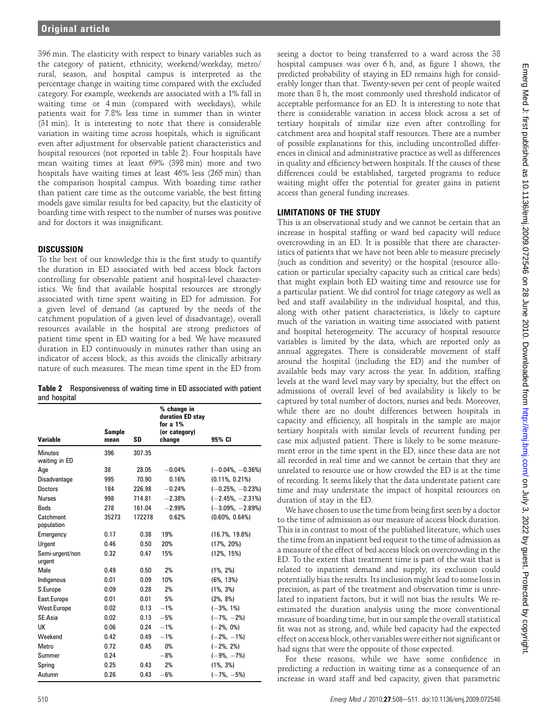396 min. The elasticity with respect to binary variables such as the category of patient, ethnicity, weekend/weekday, metro/ rural, season, and hospital campus is interpreted as the percentage change in waiting time compared with the excluded category. For example, weekends are associated with a 1% fall in waiting time or 4 min (compared with weekdays), while patients wait for 7.8% less time in summer than in winter (31 min). It is interesting to note that there is considerable variation in waiting time across hospitals, which is significant even after adjustment for observable patient characteristics and hospital resources (not reported in table 2). Four hospitals have mean waiting times at least 69% (398 min) more and two hospitals have waiting times at least 46% less (265 min) than the comparison hospital campus. With boarding time rather than patient care time as the outcome variable, the best fitting models gave similar results for bed capacity, but the elasticity of boarding time with respect to the number of nurses was positive and for doctors it was insignificant.

## **DISCUSSION**

To the best of our knowledge this is the first study to quantify the duration in ED associated with bed access block factors controlling for observable patient and hospital-level characteristics. We find that available hospital resources are strongly associated with time spent waiting in ED for admission. For a given level of demand (as captured by the needs of the catchment population of a given level of disadvantage), overall resources available in the hospital are strong predictors of patient time spent in ED waiting for a bed. We have measured duration in ED continuously in minutes rather than using an indicator of access block, as this avoids the clinically arbitrary nature of such measures. The mean time spent in the ED from

Table 2 Responsiveness of waiting time in ED associated with patient and hospital

|       |               | % change in<br>duration ED stay<br>for a 1% |                      |
|-------|---------------|---------------------------------------------|----------------------|
| mean  | SD            | change                                      | 95% CI               |
| 396   | 307.35        |                                             |                      |
| 38    | 28.05         | $-0.04%$                                    | $(-0.04\%, -0.36\%)$ |
| 995   | 70.90         | 0.16%                                       | $(0.11\%, 0.21\%)$   |
| 184   | 226.98        | $-0.24%$                                    | $(-0.25\%, -0.23\%)$ |
| 998   | 714.81        | $-2.38%$                                    | $(-2.45\%,-2.31\%)$  |
| 278   | 161.04        | $-2.99%$                                    | $(-3.09\%, -2.89\%)$ |
| 35273 | 172278        | 0.62%                                       | $(0.60\%, 0.64\%)$   |
| 0.17  | 0.38          | 19%                                         | $(16.7\% , 19.8\%)$  |
| 0.46  | 0.50          | 20%                                         | $(17\%, 20\%)$       |
| 0.32  | 0.47          | 15%                                         | $(12\%, 15\%)$       |
| 0.49  | 0.50          | 2%                                          | $(1\%, 2\%)$         |
| 0.01  | 0.09          | 10%                                         | $(6\%, 13\%)$        |
| 0.09  | 0.28          | 2%                                          | $(1\%, 3\%)$         |
| 0.01  | 0.01          | 5%                                          | $(2\%, 8\%)$         |
| 0.02  | 0.13          | $-1%$                                       | $(-3\%, 1\%)$        |
| 0.02  | 0.13          | $-5%$                                       | $(-7\%, -2\%)$       |
| 0.06  | 0.24          | $-1%$                                       | $(-2\%, 0\%)$        |
| 0.42  | 0.49          | $-1%$                                       | $(-2\%, -1\%)$       |
| 0.72  | 0.45          | 0%                                          | $(-2\%, 2\%)$        |
| 0.24  |               | $-8%$                                       | $(-9\%, -7\%)$       |
| 0.25  | 0.43          | 2%                                          | $(1\%, 3\%)$         |
| 0.26  | 0.43          | $-6%$                                       | $(-7\%, -5\%)$       |
|       | <b>Sample</b> |                                             | (or category)        |

seeing a doctor to being transferred to a ward across the 38 hospital campuses was over 6 h, and, as figure 1 shows, the predicted probability of staying in ED remains high for considerably longer than that. Twenty-seven per cent of people waited more than 8 h, the most commonly used threshold indicator of acceptable performance for an ED. It is interesting to note that there is considerable variation in access block across a set of tertiary hospitals of similar size even after controlling for catchment area and hospital staff resources. There are a number of possible explanations for this, including uncontrolled differences in clinical and administrative practice as well as differences in quality and efficiency between hospitals. If the causes of these differences could be established, targeted programs to reduce waiting might offer the potential for greater gains in patient access than general funding increases.

## LIMITATIONS OF THE STUDY

This is an observational study and we cannot be certain that an increase in hospital staffing or ward bed capacity will reduce overcrowding in an ED. It is possible that there are characteristics of patients that we have not been able to measure precisely (such as condition and severity) or the hospital (resource allocation or particular specialty capacity such as critical care beds) that might explain both ED waiting time and resource use for a particular patient. We did control for triage category as well as bed and staff availability in the individual hospital, and this, along with other patient characteristics, is likely to capture much of the variation in waiting time associated with patient and hospital heterogeneity. The accuracy of hospital resource variables is limited by the data, which are reported only as annual aggregates. There is considerable movement of staff around the hospital (including the ED) and the number of available beds may vary across the year. In addition, staffing levels at the ward level may vary by specialty, but the effect on admissions of overall level of bed availability is likely to be captured by total number of doctors, nurses and beds. Moreover, while there are no doubt differences between hospitals in capacity and efficiency, all hospitals in the sample are major tertiary hospitals with similar levels of recurrent funding per case mix adjusted patient. There is likely to be some measurement error in the time spent in the ED, since these data are not all recorded in real time and we cannot be certain that they are unrelated to resource use or how crowded the ED is at the time of recording. It seems likely that the data understate patient care time and may understate the impact of hospital resources on duration of stay in the ED.

We have chosen to use the time from being first seen by a doctor to the time of admission as our measure of access block duration. This is in contrast to most of the published literature, which uses the time from an inpatient bed request to the time of admission as a measure of the effect of bed access block on overcrowding in the ED. To the extent that treatment time is part of the wait that is related to inpatient demand and supply, its exclusion could potentially bias the results. Its inclusion might lead to some loss in precision, as part of the treatment and observation time is unrelated to inpatient factors, but it will not bias the results. We reestimated the duration analysis using the more conventional measure of boarding time, but in our sample the overall statistical fit was not as strong, and, while bed capacity had the expected effect on access block, other variables were either not significant or had signs that were the opposite of those expected.

For these reasons, while we have some confidence in predicting a reduction in waiting time as a consequence of an increase in ward staff and bed capacity, given that parametric